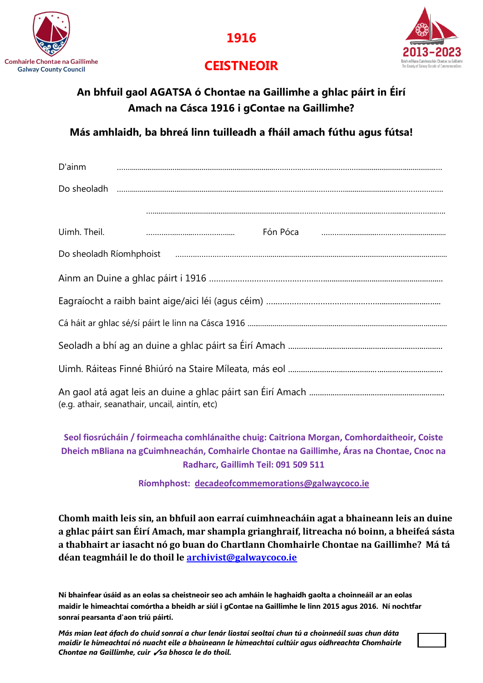



## **CEISTNEOIR**

## **An bhfuil gaol AGATSA ó Chontae na Gaillimhe a ghlac páirt in Éirí Amach na Cásca 1916 i gContae na Gaillimhe?**

**Más amhlaidh, ba bhreá linn tuilleadh a fháil amach fúthu agus fútsa!**

| D'ainm                                         |                                                                                                                                                                                                                                      |  |  |  |  |
|------------------------------------------------|--------------------------------------------------------------------------------------------------------------------------------------------------------------------------------------------------------------------------------------|--|--|--|--|
|                                                |                                                                                                                                                                                                                                      |  |  |  |  |
|                                                |                                                                                                                                                                                                                                      |  |  |  |  |
| Uimh. Theil.                                   |                                                                                                                                                                                                                                      |  |  |  |  |
|                                                | Do sheoladh Ríomhphoist <b>communication and contract to the contract of the contract of the contract of the contract of the contract of the contract of the contract of the contract of the contract of the contract of the con</b> |  |  |  |  |
|                                                |                                                                                                                                                                                                                                      |  |  |  |  |
|                                                |                                                                                                                                                                                                                                      |  |  |  |  |
|                                                |                                                                                                                                                                                                                                      |  |  |  |  |
|                                                |                                                                                                                                                                                                                                      |  |  |  |  |
|                                                |                                                                                                                                                                                                                                      |  |  |  |  |
| (e.g. athair, seanathair, uncail, aintín, etc) |                                                                                                                                                                                                                                      |  |  |  |  |

**Seol fiosrúcháin / foirmeacha comhlánaithe chuig: Caitriona Morgan, Comhordaitheoir, Coiste Dheich mBliana na gCuimhneachán, Comhairle Chontae na Gaillimhe, Áras na Chontae, Cnoc na Radharc, Gaillimh Teil: 091 509 511**

**Ríomhphost: [decadeofcommemorations@galwaycoco.ie](mailto:decadeofcommemorations@galwaycoco.ie)**

**Chomh maith leis sin, an bhfuil aon earraí cuimhneacháin agat a bhaineann leis an duine a ghlac páirt san Éirí Amach, mar shampla grianghraif, litreacha nó boinn, a bheifeá sásta a thabhairt ar iasacht nó go buan do Chartlann Chomhairle Chontae na Gaillimhe? Má tá déan teagmháil le do thoil le [archivist@galwaycoco.ie](mailto:archivist@galwaycoco.ie)**

**Ní bhainfear úsáid as an eolas sa cheistneoir seo ach amháin le haghaidh gaolta a choinneáil ar an eolas maidir le himeachtaí comórtha a bheidh ar siúl i gContae na Gaillimhe le linn 2015 agus 2016. Ní nochtfar sonraí pearsanta d'aon tríú páirtí.**

*Más mian leat áfach do chuid sonraí a chur lenár liostaí seoltaí chun tú a choinneáil suas chun dáta maidir le himeachtaí nó nuacht eile a bhaineann le himeachtaí cultúir agus oidhreachta Chomhairle Chontae na Gaillimhe, cuir* ✓*sa bhosca le do thoil.*